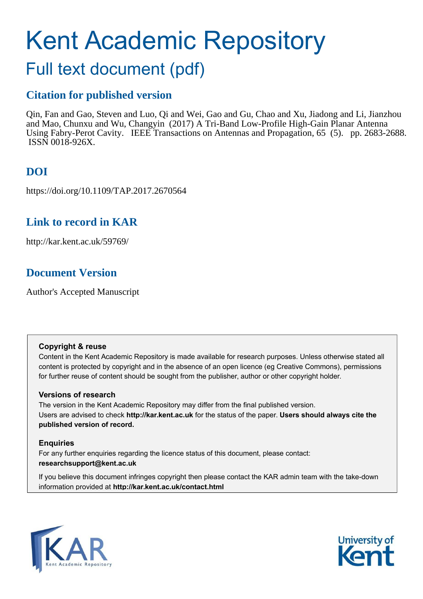# Kent Academic Repository

# Full text document (pdf)

### **Citation for published version**

Qin, Fan and Gao, Steven and Luo, Qi and Wei, Gao and Gu, Chao and Xu, Jiadong and Li, Jianzhou and Mao, Chunxu and Wu, Changyin (2017) A Tri-Band Low-Profile High-Gain Planar Antenna Using Fabry-Perot Cavity. IEEE Transactions on Antennas and Propagation, 65 (5). pp. 2683-2688. ISSN 0018-926X.

# **DOI**

https://doi.org/10.1109/TAP.2017.2670564

## **Link to record in KAR**

http://kar.kent.ac.uk/59769/

## **Document Version**

Author's Accepted Manuscript

#### **Copyright & reuse**

Content in the Kent Academic Repository is made available for research purposes. Unless otherwise stated all content is protected by copyright and in the absence of an open licence (eg Creative Commons), permissions for further reuse of content should be sought from the publisher, author or other copyright holder.

#### **Versions of research**

The version in the Kent Academic Repository may differ from the final published version. Users are advised to check **http://kar.kent.ac.uk** for the status of the paper. **Users should always cite the published version of record.**

#### **Enquiries**

For any further enquiries regarding the licence status of this document, please contact: **researchsupport@kent.ac.uk**

If you believe this document infringes copyright then please contact the KAR admin team with the take-down information provided at **http://kar.kent.ac.uk/contact.html**



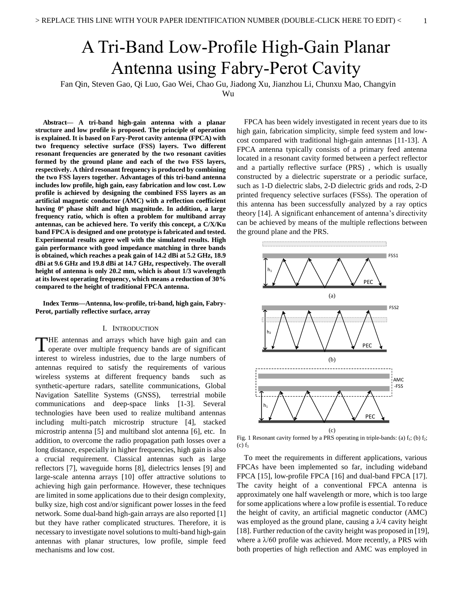# A Tri-Band Low-Profile High-Gain Planar Antenna using Fabry-Perot Cavity

Fan Qin, Steven Gao, Qi Luo, Gao Wei, Chao Gu, Jiadong Xu, Jianzhou Li, Chunxu Mao, Changyin

Wu

**Abstract— A tri-band high-gain antenna with a planar structure and low profile is proposed. The principle of operation is explained. It is based on Fary-Perot cavity antenna (FPCA) with two frequency selective surface (FSS) layers. Two different resonant frequencies are generated by the two resonant cavities formed by the ground plane and each of the two FSS layers, respectively. A third resonant frequency is produced by combining the two FSS layers together. Advantages of this tri-band antenna includes low profile, high gain, easy fabrication and low cost. Low profile is achieved by designing the combined FSS layers as an artificial magnetic conductor (AMC) with a reflection coefficient having 0<sup>o</sup> phase shift and high magnitude. In addition, a large frequency ratio, which is often a problem for multiband array antennas, can be achieved here. To verify this concept, a C/X/Ku band FPCA is designed and one prototype is fabricated and tested. Experimental results agree well with the simulated results. High gain performance with good impedance matching in three bands is obtained, which reaches a peak gain of 14.2 dBi at 5.2 GHz, 18.9 dBi at 9.6 GHz and 19.8 dBi at 14.7 GHz, respectively. The overall height of antenna is only 20.2 mm, which is about 1/3 wavelength at its lowest operating frequency, which means a reduction of 30% compared to the height of traditional FPCA antenna.** 

**Index Terms—Antenna, low-profile, tri-band, high gain, Fabry-Perot, partially reflective surface, array** 

#### I. INTRODUCTION

HE antennas and arrays which have high gain and can THE antennas and arrays which have high gain and can operate over multiple frequency bands are of significant interest to wireless industries, due to the large numbers of antennas required to satisfy the requirements of various wireless systems at different frequency bands such as synthetic-aperture radars, satellite communications, Global Navigation Satellite Systems (GNSS), terrestrial mobile communications and deep-space links [1-3]. Several technologies have been used to realize multiband antennas including multi-patch microstrip structure [4], stacked microstrip antenna [5] and multiband slot antenna [6], etc. In addition, to overcome the radio propagation path losses over a long distance, especially in higher frequencies, high gain is also a crucial requirement. Classical antennas such as large reflectors [7], waveguide horns [8], dielectrics lenses [9] and large-scale antenna arrays [10] offer attractive solutions to achieving high gain performance. However, these techniques are limited in some applications due to their design complexity, bulky size, high cost and/or significant power losses in the feed network. Some dual-band high-gain arrays are also reported [1] but they have rather complicated structures. Therefore, it is necessary to investigate novel solutions to multi-band high-gain antennas with planar structures, low profile, simple feed mechanisms and low cost.

FPCA has been widely investigated in recent years due to its high gain, fabrication simplicity, simple feed system and lowcost compared with traditional high-gain antennas [11-13]. A FPCA antenna typically consists of a primary feed antenna located in a resonant cavity formed between a perfect reflector and a partially reflective surface (PRS) , which is usually constructed by a dielectric superstrate or a periodic surface, such as 1-D dielectric slabs, 2-D dielectric grids and rods, 2-D printed frequency selective surfaces (FSSs). The operation of this antenna has been successfully analyzed by a ray optics theory [14]. A significant enhancement of antenna's directivity can be achieved by means of the multiple reflections between the ground plane and the PRS.



Fig. 1 Resonant cavity formed by a PRS operating in triple-bands: (a)  $f_1$ ; (b)  $f_2$ ;  $(c)$   $f_3$ 

To meet the requirements in different applications, various FPCAs have been implemented so far, including wideband FPCA [15], low-profile FPCA [16] and dual-band FPCA [17]. The cavity height of a conventional FPCA antenna is approximately one half wavelength or more, which is too large for some applications where a low profile is essential. To reduce the height of cavity, an artificial magnetic conductor (AMC) was employed as the ground plane, causing a  $\lambda/4$  cavity height [18]. Further reduction of the cavity height was proposed in [19], where a  $\lambda/60$  profile was achieved. More recently, a PRS with both properties of high reflection and AMC was employed in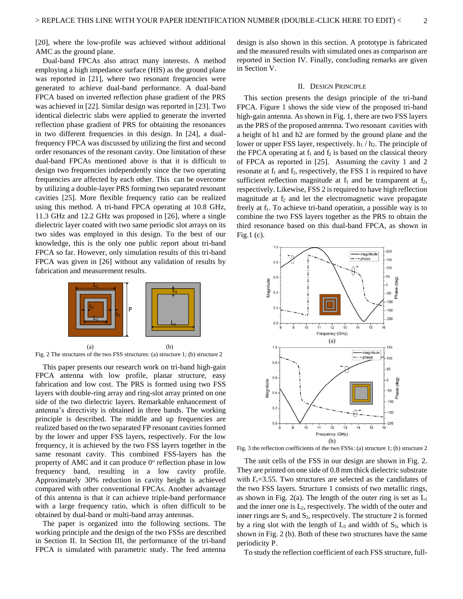[20], where the low-profile was achieved without additional AMC as the ground plane.

Dual-band FPCAs also attract many interests. A method employing a high impedance surface (HIS) as the ground plane was reported in [21], where two resonant frequencies were generated to achieve dual-band performance. A dual-band FPCA based on inverted reflection phase gradient of the PRS was achieved in [22]. Similar design was reported in [23]. Two identical dielectric slabs were applied to generate the inverted reflection phase gradient of PRS for obtaining the resonances in two different frequencies in this design. In [24], a dualfrequency FPCA was discussed by utilizing the first and second order resonances of the resonant cavity. One limitation of these dual-band FPCAs mentioned above is that it is difficult to design two frequencies independently since the two operating frequencies are affected by each other. This can be overcome by utilizing a double-layer PRS forming two separated resonant cavities [25]. More flexible frequency ratio can be realized using this method. A tri-band FPCA operating at 10.8 GHz, 11.3 GHz and 12.2 GHz was proposed in [26], where a single dielectric layer coated with two same periodic slot arrays on its two sides was employed in this design. To the best of our knowledge, this is the only one public report about tri-band FPCA so far. However, only simulation results of this tri-band FPCA was given in [26] without any validation of results by fabrication and measurement results.



Fig. 2 The structures of the two FSS structures: (a) structure 1; (b) structure 2

This paper presents our research work on tri-band high-gain FPCA antenna with low profile, planar structure, easy fabrication and low cost. The PRS is formed using two FSS layers with double-ring array and ring-slot array printed on one side of the two dielectric layers. Remarkable enhancement of antenna's directivity is obtained in three bands. The working principle is described. The middle and up frequencies are realized based on the two separated FP resonant cavities formed by the lower and upper FSS layers, respectively. For the low frequency, it is achieved by the two FSS layers together in the same resonant cavity. This combined FSS-layers has the property of AMC and it can produce  $0^{\circ}$  reflection phase in low frequency band, resulting in a low cavity profile. Approximately 30% reduction in cavity height is achieved compared with other conventional FPCAs. Another advantage of this antenna is that it can achieve triple-band performance with a large frequency ratio, which is often difficult to be obtained by dual-band or multi-band array antennas.

The paper is organized into the following sections. The working principle and the design of the two FSSs are described in Section II. In Section III, the performance of the tri-band FPCA is simulated with parametric study. The feed antenna

design is also shown in this section. A prototype is fabricated and the measured results with simulated ones as comparison are reported in Section IV. Finally, concluding remarks are given in Section V.

#### II. DESIGN PRINCIPLE

This section presents the design principle of the tri-band FPCA. Figure 1 shows the side view of the proposed tri-band high-gain antenna. As shown in Fig. 1, there are two FSS layers as the PRS of the proposed antenna. Two resonant cavities with a height of h1 and h2 are formed by the ground plane and the lower or upper FSS layer, respectively.  $h_1 / h_2$ . The principle of the FPCA operating at  $f_1$  and  $f_2$  is based on the classical theory of FPCA as reported in [25]. Assuming the cavity 1 and 2 resonate at  $f_1$  and  $f_2$ , respectively, the FSS 1 is required to have sufficient reflection magnitude at  $f_1$  and be transparent at  $f_2$ , respectively. Likewise, FSS 2 is required to have high reflection magnitude at  $f_2$  and let the electromagnetic wave propagate freely at f<sub>1</sub>. To achieve tri-band operation, a possible way is to combine the two FSS layers together as the PRS to obtain the third resonance based on this dual-band FPCA, as shown in Fig.1 $(c)$ .



Fig. 3 the reflection coefficients of the two FSSs: (a) structure 1; (b) structure 2

 The unit cells of the FSS in our design are shown in Fig. 2. They are printed on one side of 0.8 mm thick dielectric substrate with  $\mathcal{E}_r$ =3.55. Two structures are selected as the candidates of the two FSS layers. Structure 1 consists of two metallic rings, as shown in Fig. 2(a). The length of the outer ring is set as  $L_1$ and the inner one is  $L_2$ , respectively. The width of the outer and inner rings are  $S_1$  and  $S_2$ , respectively. The structure 2 is formed by a ring slot with the length of  $L_3$  and width of  $S_3$ , which is shown in Fig. 2 (b). Both of these two structures have the same periodicity P.

To study the reflection coefficient of each FSS structure, full-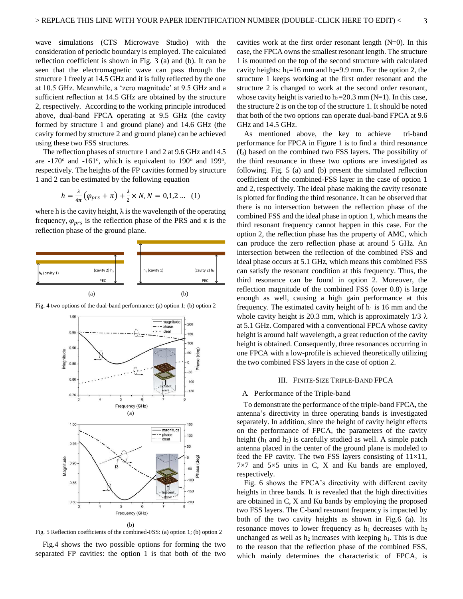wave simulations (CTS Microwave Studio) with the consideration of periodic boundary is employed. The calculated reflection coefficient is shown in Fig. 3 (a) and (b). It can be seen that the electromagnetic wave can pass through the structure 1 freely at 14.5 GHz and it is fully reflected by the one at 10.5 GHz. Meanwhile, a 'zero magnitude' at 9.5 GHz and a sufficient reflection at 14.5 GHz are obtained by the structure 2, respectively. According to the working principle introduced above, dual-band FPCA operating at 9.5 GHz (the cavity formed by structure 1 and ground plane) and 14.6 GHz (the cavity formed by structure 2 and ground plane) can be achieved using these two FSS structures.

 The reflection phases of structure 1 and 2 at 9.6 GHz and14.5 are  $-170^\circ$  and  $-161^\circ$ , which is equivalent to  $190^\circ$  and  $199^\circ$ , respectively. The heights of the FP cavities formed by structure 1 and 2 can be estimated by the following equation

$$
h = \frac{\lambda}{4\pi} \left( \varphi_{prs} + \pi \right) + \frac{\lambda}{2} \times N, N = 0, 1, 2 \dots (1)
$$

where h is the cavity height,  $\lambda$  is the wavelength of the operating frequency,  $\varphi_{prs}$  is the reflection phase of the PRS and  $\pi$  is the reflection phase of the ground plane.



Fig. 4 two options of the dual-band performance: (a) option 1; (b) option 2



Fig. 5 Reflection coefficients of the combined-FSS: (a) option 1; (b) option 2

Fig.4 shows the two possible options for forming the two separated FP cavities: the option 1 is that both of the two cavities work at the first order resonant length (N=0). In this case, the FPCA owns the smallest resonant length. The structure 1 is mounted on the top of the second structure with calculated cavity heights:  $h_1=16$  mm and  $h_2=9.9$  mm. For the option 2, the structure 1 keeps working at the first order resonant and the structure 2 is changed to work at the second order resonant, whose cavity height is varied to  $h_2=20.3$  mm (N=1). In this case, the structure 2 is on the top of the structure 1. It should be noted that both of the two options can operate dual-band FPCA at 9.6 GHz and 14.5 GHz.

As mentioned above, the key to achieve tri-band performance for FPCA in Figure 1 is to find a third resonance (f3) based on the combined two FSS layers. The possibility of the third resonance in these two options are investigated as following. Fig. 5 (a) and (b) present the simulated reflection coefficient of the combined-FSS layer in the case of option 1 and 2, respectively. The ideal phase making the cavity resonate is plotted for finding the third resonance. It can be observed that there is no intersection between the reflection phase of the combined FSS and the ideal phase in option 1, which means the third resonant frequency cannot happen in this case. For the option 2, the reflection phase has the property of AMC, which can produce the zero reflection phase at around 5 GHz. An intersection between the reflection of the combined FSS and ideal phase occurs at 5.1 GHz, which means this combined FSS can satisfy the resonant condition at this frequency. Thus, the third resonance can be found in option 2. Moreover, the reflection magnitude of the combined FSS (over 0.8) is large enough as well, causing a high gain performance at this frequency. The estimated cavity height of  $h_1$  is 16 mm and the whole cavity height is 20.3 mm, which is approximately  $1/3 \lambda$ at 5.1 GHz. Compared with a conventional FPCA whose cavity height is around half wavelength, a great reduction of the cavity height is obtained. Consequently, three resonances occurring in one FPCA with a low-profile is achieved theoretically utilizing the two combined FSS layers in the case of option 2.

#### III. FINITE-SIZE TRIPLE-BAND FPCA

#### A. Performance of the Triple-band

To demonstrate the performance of the triple-band FPCA, the antenna's directivity in three operating bands is investigated separately. In addition, since the height of cavity height effects on the performance of FPCA, the parameters of the cavity height ( $h_1$  and  $h_2$ ) is carefully studied as well. A simple patch antenna placed in the center of the ground plane is modeled to feed the FP cavity. The two FSS layers consisting of  $11\times11$ ,  $7\times7$  and  $5\times5$  units in C, X and Ku bands are employed, respectively.

Fig. 6 shows the FPCA's directivity with different cavity heights in three bands. It is revealed that the high directivities are obtained in C, X and Ku bands by employing the proposed two FSS layers. The C-band resonant frequency is impacted by both of the two cavity heights as shown in Fig.6 (a). Its resonance moves to lower frequency as  $h_1$  decreases with  $h_2$ unchanged as well as  $h_2$  increases with keeping  $h_1$ . This is due to the reason that the reflection phase of the combined FSS, which mainly determines the characteristic of FPCA, is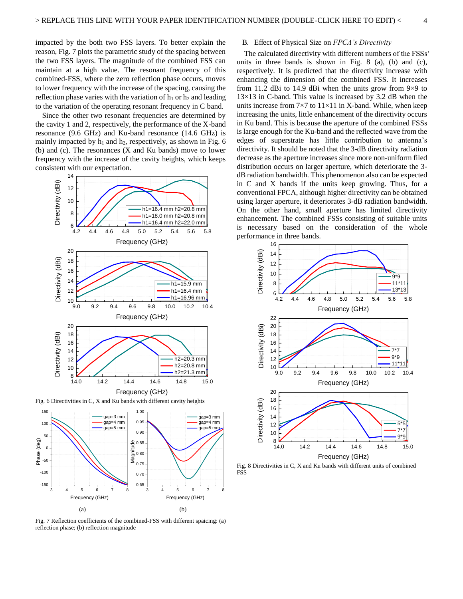impacted by the both two FSS layers. To better explain the reason, Fig. 7 plots the parametric study of the spacing between the two FSS layers. The magnitude of the combined FSS can maintain at a high value. The resonant frequency of this combined-FSS, where the zero reflection phase occurs, moves to lower frequency with the increase of the spacing, causing the reflection phase varies with the variation of  $h_1$  or  $h_2$  and leading to the variation of the operating resonant frequency in C band.

Since the other two resonant frequencies are determined by the cavity 1 and 2, respectively, the performance of the X-band resonance (9.6 GHz) and Ku-band resonance (14.6 GHz) is mainly impacted by  $h_1$  and  $h_2$ , respectively, as shown in Fig. 6 (b) and (c). The resonances (X and Ku bands) move to lower frequency with the increase of the cavity heights, which keeps consistent with our expectation.



Fig. 6 Directivities in C, X and Ku bands with different cavity heights



Fig. 7 Reflection coefficients of the combined-FSS with different spaicing: (a) reflection phase; (b) reflection magnitude

#### B. Effect of Physical Size on *FPCA's Directivity*

The calculated directivity with different numbers of the FSSs' units in three bands is shown in Fig. 8 (a), (b) and (c), respectively. It is predicted that the directivity increase with enhancing the dimension of the combined FSS. It increases from 11.2 dBi to 14.9 dBi when the units grow from 9×9 to  $13\times13$  in C-band. This value is increased by 3.2 dB when the units increase from  $7\times7$  to  $11\times11$  in X-band. While, when keep increasing the units, little enhancement of the directivity occurs in Ku band. This is because the aperture of the combined FSSs is large enough for the Ku-band and the reflected wave from the edges of superstrate has little contribution to antenna's directivity. It should be noted that the 3-dB directivity radiation decrease as the aperture increases since more non-uniform filed distribution occurs on larger aperture, which deteriorate the 3 dB radiation bandwidth. This phenomenon also can be expected in C and X bands if the units keep growing. Thus, for a conventional FPCA, although higher directivity can be obtained using larger aperture, it deteriorates 3-dB radiation bandwidth. On the other hand, small aperture has limited directivity enhancement. The combined FSSs consisting of suitable units is necessary based on the consideration of the whole performance in three bands.



Fig. 8 Directivities in C, X and Ku bands with different units of combined FSS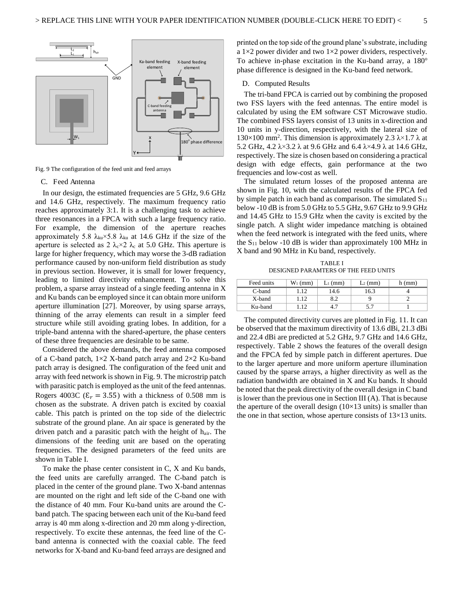

Fig. 9 The configuration of the feed unit and feed arrays

#### C. Feed Antenna

In our design, the estimated frequencies are 5 GHz, 9.6 GHz and 14.6 GHz, respectively. The maximum frequency ratio reaches approximately 3:1. It is a challenging task to achieve three resonances in a FPCA with such a large frequency ratio. For example, the dimension of the aperture reaches approximately 5.8  $\lambda_{ku} \times 5.8$   $\lambda_{ku}$  at 14.6 GHz if the size of the aperture is selected as 2  $\lambda_c \times 2$   $\lambda_c$  at 5.0 GHz. This aperture is large for higher frequency, which may worse the 3-dB radiation performance caused by non-uniform field distribution as study in previous section. However, it is small for lower frequency, leading to limited directivity enhancement. To solve this problem, a sparse array instead of a single feeding antenna in X and Ku bands can be employed since it can obtain more uniform aperture illumination [27]. Moreover, by using sparse arrays, thinning of the array elements can result in a simpler feed structure while still avoiding grating lobes. In addition, for a triple-band antenna with the shared-aperture, the phase centers of these three frequencies are desirable to be same.

Considered the above demands, the feed antenna composed of a C-band patch,  $1\times2$  X-band patch array and  $2\times2$  Ku-band patch array is designed. The configuration of the feed unit and array with feed network is shown in Fig. 9. The microstrip patch with parasitic patch is employed as the unit of the feed antennas. Rogers 4003C ( $\epsilon_r$  = 3.55) with a thickness of 0.508 mm is chosen as the substrate. A driven patch is excited by coaxial cable. This patch is printed on the top side of the dielectric substrate of the ground plane. An air space is generated by the driven patch and a parasitic patch with the height of h<sub>air</sub>. The dimensions of the feeding unit are based on the operating frequencies. The designed parameters of the feed units are shown in Table I.

To make the phase center consistent in C, X and Ku bands, the feed units are carefully arranged. The C-band patch is placed in the center of the ground plane. Two X-band antennas are mounted on the right and left side of the C-band one with the distance of 40 mm. Four Ku-band units are around the Cband patch. The spacing between each unit of the Ku-band feed array is 40 mm along x-direction and 20 mm along y-direction, respectively. To excite these antennas, the feed line of the Cband antenna is connected with the coaxial cable. The feed networks for X-band and Ku-band feed arrays are designed and

printed on the top side of the ground plane's substrate, including a  $1\times2$  power divider and two  $1\times2$  power dividers, respectively. To achieve in-phase excitation in the Ku-band array, a  $180^\circ$ phase difference is designed in the Ku-band feed network.

#### D. Computed Results

The tri-band FPCA is carried out by combining the proposed two FSS layers with the feed antennas. The entire model is calculated by using the EM software CST Microwave studio. The combined FSS layers consist of 13 units in x-direction and 10 units in y-direction, respectively, with the lateral size of 130×100 mm<sup>2</sup>. This dimension is approximately 2.3  $\lambda$ ×1.7  $\lambda$  at 5.2 GHz, 4.2  $\lambda \times 3.2 \lambda$  at 9.6 GHz and 6.4  $\lambda \times 4.9 \lambda$  at 14.6 GHz, respectively. The size is chosen based on considering a practical design with edge effects, gain performance at the two frequencies and low-cost as well.

The simulated return losses of the proposed antenna are shown in Fig. 10, with the calculated results of the FPCA fed by simple patch in each band as comparison. The simulated  $S_{11}$ below -10 dB is from 5.0 GHz to 5.5 GHz, 9.67 GHz to 9.9 GHz and 14.45 GHz to 15.9 GHz when the cavity is excited by the single patch. A slight wider impedance matching is obtained when the feed network is integrated with the feed units, where the  $S_{11}$  below -10 dB is wider than approximately 100 MHz in X band and 90 MHz in Ku band, respectively.

TABLE I DESIGNED PARAMTERS OF THE FEED UNITS

| Feed units | $W_1$ (mm) | $L_1$ (mm) | $L_2$ (mm) | h (mm) |
|------------|------------|------------|------------|--------|
| C-band     | 12         | 14.6       | 16.3       |        |
| X-band     | .12        | 8.2        |            |        |
| Ku-band    | 12         | 4.7        | 5.7        |        |

The computed directivity curves are plotted in Fig. 11. It can be observed that the maximum directivity of 13.6 dBi, 21.3 dBi and 22.4 dBi are predicted at 5.2 GHz, 9.7 GHz and 14.6 GHz, respectively. Table 2 shows the features of the overall design and the FPCA fed by simple patch in different apertures. Due to the larger aperture and more uniform aperture illumination caused by the sparse arrays, a higher directivity as well as the radiation bandwidth are obtained in X and Ku bands. It should be noted that the peak directivity of the overall design in C band is lower than the previous one in Section III (A). That is because the aperture of the overall design  $(10\times13 \text{ units})$  is smaller than the one in that section, whose aperture consists of 13×13 units.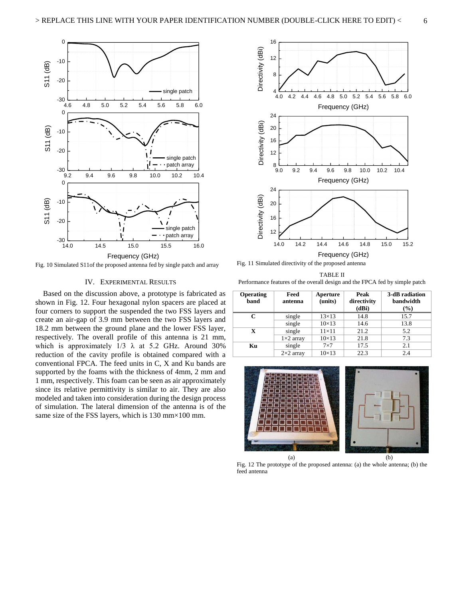

Fig. 10 Simulated S11of the proposed antenna fed by single patch and array

#### IV. EXPERIMENTAL RESULTS

Based on the discussion above, a prototype is fabricated as shown in Fig. 12. Four hexagonal nylon spacers are placed at four corners to support the suspended the two FSS layers and create an air-gap of 3.9 mm between the two FSS layers and 18.2 mm between the ground plane and the lower FSS layer, respectively. The overall profile of this antenna is 21 mm, which is approximately  $1/3$   $\lambda$  at 5.2 GHz. Around 30% reduction of the cavity profile is obtained compared with a conventional FPCA. The feed units in C, X and Ku bands are supported by the foams with the thickness of 4mm, 2 mm and 1 mm, respectively. This foam can be seen as air approximately since its relative permittivity is similar to air. They are also modeled and taken into consideration during the design process of simulation. The lateral dimension of the antenna is of the same size of the FSS layers, which is 130 mm×100 mm.



Fig. 11 Simulated directivity of the proposed antenna

TABLE II Performance features of the overall design and the FPCA fed by simple patch

| <b>Operating</b><br>band | Feed<br>antenna  | Aperture<br>(units) | Peak<br>directivity<br>(dBi) | 3-dB radiation<br><b>bandwidth</b><br>$(\%)$ |
|--------------------------|------------------|---------------------|------------------------------|----------------------------------------------|
| C                        | single           | $13\times13$        | 14.8                         | 15.7                                         |
|                          | single           | $10\times13$        | 14.6                         | 13.8                                         |
| X                        | single           | $11\times11$        | 21.2                         | 5.2                                          |
|                          | $1\times2$ array | $10\times13$        | 21.8                         | 7.3                                          |
| Kц                       | single           | $7\times7$          | 17.5                         | 2.1                                          |
|                          | $2\times2$ array | $10\times13$        | 22.3                         | 2.4                                          |



Fig. 12 The prototype of the proposed antenna: (a) the whole antenna; (b) the feed antenna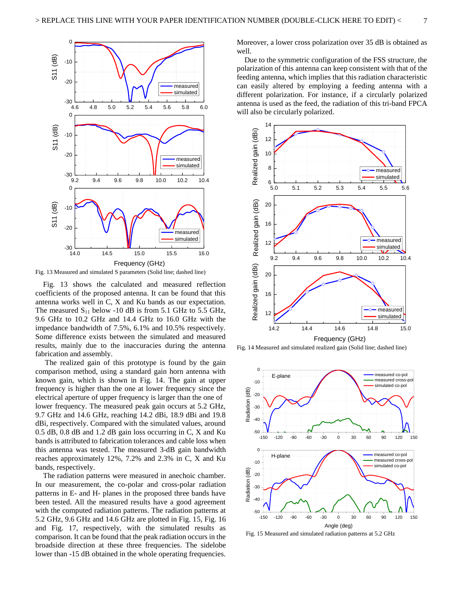



Fig. 13 shows the calculated and measured reflection coefficients of the proposed antenna. It can be found that this antenna works well in C, X and Ku bands as our expectation. The measured  $S_{11}$  below -10 dB is from 5.1 GHz to 5.5 GHz, 9.6 GHz to 10.2 GHz and 14.4 GHz to 16.0 GHz with the impedance bandwidth of 7.5%, 6.1% and 10.5% respectively. Some difference exists between the simulated and measured results, mainly due to the inaccuracies during the antenna fabrication and assembly.

 The realized gain of this prototype is found by the gain comparison method, using a standard gain horn antenna with known gain, which is shown in Fig. 14. The gain at upper frequency is higher than the one at lower frequency since the electrical aperture of upper frequency is larger than the one of lower frequency. The measured peak gain occurs at 5.2 GHz, 9.7 GHz and 14.6 GHz, reaching 14.2 dBi, 18.9 dBi and 19.8 dBi, respectively. Compared with the simulated values, around 0.5 dB, 0.8 dB and 1.2 dB gain loss occurring in C, X and Ku bands is attributed to fabrication tolerances and cable loss when this antenna was tested. The measured 3-dB gain bandwidth reaches approximately 12%, 7.2% and 2.3% in C, X and Ku bands, respectively.

The radiation patterns were measured in anechoic chamber. In our measurement, the co-polar and cross-polar radiation patterns in E- and H- planes in the proposed three bands have been tested. All the measured results have a good agreement with the computed radiation patterns. The radiation patterns at 5.2 GHz, 9.6 GHz and 14.6 GHz are plotted in Fig. 15, Fig. 16 and Fig. 17, respectively, with the simulated results as comparison. It can be found that the peak radiation occurs in the broadside direction at these three frequencies. The sidelobe lower than -15 dB obtained in the whole operating frequencies.

Moreover, a lower cross polarization over 35 dB is obtained as well.

Due to the symmetric configuration of the FSS structure, the polarization of this antenna can keep consistent with that of the feeding antenna, which implies that this radiation characteristic can easily altered by employing a feeding antenna with a different polarization. For instance, if a circularly polarized antenna is used as the feed, the radiation of this tri-band FPCA will also be circularly polarized.







Fig. 15 Measured and simulated radiation patterns at 5.2 GHz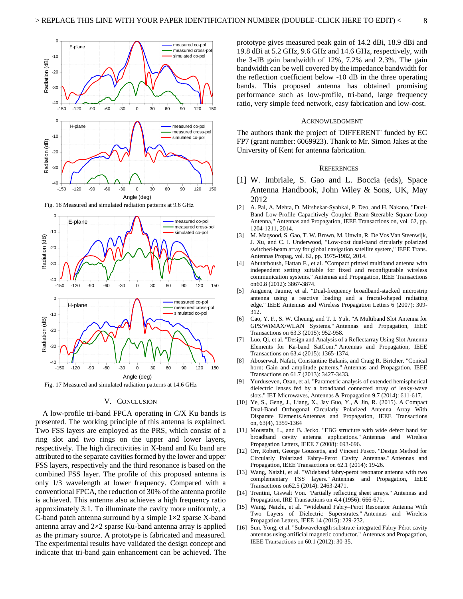

Fig. 16 Measured and simulated radiation patterns at 9.6 GHz



Fig. 17 Measured and simulated radiation patterns at 14.6 GHz

#### V. CONCLUSION

A low-profile tri-band FPCA operating in C/X Ku bands is presented. The working principle of this antenna is explained. Two FSS layers are employed as the PRS, which consist of a ring slot and two rings on the upper and lower layers, respectively. The high directivities in X-band and Ku band are attributed to the separate cavities formed by the lower and upper FSS layers, respectively and the third resonance is based on the combined FSS layer. The profile of this proposed antenna is only 1/3 wavelength at lower frequency. Compared with a conventional FPCA, the reduction of 30% of the antenna profile is achieved. This antenna also achieves a high frequency ratio approximately 3:1. To illuminate the cavity more uniformly, a C-band patch antenna surround by a simple  $1\times 2$  sparse X-band antenna array and  $2\times 2$  sparse Ku-band antenna array is applied as the primary source. A prototype is fabricated and measured. The experimental results have validated the design concept and indicate that tri-band gain enhancement can be achieved. The

prototype gives measured peak gain of 14.2 dBi, 18.9 dBi and 19.8 dBi at 5.2 GHz, 9.6 GHz and 14.6 GHz, respectively, with the 3-dB gain bandwidth of 12%, 7.2% and 2.3%. The gain bandwidth can be well covered by the impedance bandwidth for the reflection coefficient below -10 dB in the three operating bands. This proposed antenna has obtained promising performance such as low-profile, tri-band, large frequency ratio, very simple feed network, easy fabrication and low-cost.

#### ACKNOWLEDGMENT

The authors thank the project of 'DIFFERENT' funded by EC FP7 (grant number: 6069923). Thank to Mr. Simon Jakes at the University of Kent for antenna fabrication.

#### **REFERENCES**

- [1] W. Imbriale, S. Gao and L. Boccia (eds), Space Antenna Handbook, John Wiley & Sons, UK, May 2012
- [2] A. Pal, A. Mehta, D. Mirshekar-Syahkal, P. Deo, and H. Nakano, "Dual-Band Low-Profile Capacitively Coupled Beam-Steerable Square-Loop Antenna," Antennas and Propagation, IEEE Transactions on, vol. 62, pp. 1204-1211, 2014.
- M. Maqsood, S. Gao, T. W. Brown, M. Unwin, R. De Vos Van Steenwijk, J. Xu, and C. I. Underwood, "Low-cost dual-band circularly polarized switched-beam array for global navigation satellite system," IEEE Trans. Antennas Propag, vol. 62, pp. 1975-1982, 2014.
- [4] Abutarboush, Hattan F., et al. "Compact printed multiband antenna with independent setting suitable for fixed and reconfigurable wireless communication systems." Antennas and Propagation, IEEE Transactions on60.8 (2012): 3867-3874.
- [5] Anguera, Jaume, et al. "Dual-frequency broadband-stacked microstrip antenna using a reactive loading and a fractal-shaped radiating edge." IEEE Antennas and Wireless Propagation Letters 6 (2007): 309- 312.
- [6] Cao, Y. F., S. W. Cheung, and T. I. Yuk. "A Multiband Slot Antenna for GPS/WiMAX/WLAN Systems." Antennas and Propagation, IEEE Transactions on 63.3 (2015): 952-958.
- [7] Luo, Qi, et al. "Design and Analysis of a Reflectarray Using Slot Antenna Elements for Ka-band SatCom." Antennas and Propagation, IEEE Transactions on 63.4 (2015): 1365-1374.
- [8] Aboserwal, Nafati, Constantine Balanis, and Craig R. Birtcher. "Conical horn: Gain and amplitude patterns." Antennas and Propagation, IEEE Transactions on 61.7 (2013): 3427-3433.
- [9] Yurduseven, Ozan, et al. "Parametric analysis of extended hemispherical dielectric lenses fed by a broadband connected array of leaky-wave slots." IET Microwaves, Antennas & Propagation 9.7 (2014): 611-617.
- [10] Ye, S., Geng, J., Liang, X., Jay Guo, Y., & Jin, R. (2015). A Compact Dual-Band Orthogonal Circularly Polarized Antenna Array With Disparate Elements.Antennas and Propagation, IEEE Transactions on, 63(4), 1359-1364
- [11] Moustafa, L., and B. Jecko. "EBG structure with wide defect band for broadband cavity antenna applications." Antennas and Wireless Propagation Letters, IEEE 7 (2008): 693-696.
- [12] Orr, Robert, George Goussetis, and Vincent Fusco. "Design Method for Circularly Polarized Fabry–Perot Cavity Antennas." Antennas and Propagation, IEEE Transactions on 62.1 (2014): 19-26.
- [13] Wang, Naizhi, et al. "Wideband fabry-perot resonator antenna with two complementary FSS layers." Antennas and Propagation, IEEE Transactions on62.5 (2014): 2463-2471.
- [14] Trentini, Giswalt Von. "Partially reflecting sheet arrays." Antennas and Propagation, IRE Transactions on 4.4 (1956): 666-671.
- [15] Wang, Naizhi, et al. "Wideband Fabry–Perot Resonator Antenna With Two Layers of Dielectric Superstrates." Antennas and Wireless Propagation Letters, IEEE 14 (2015): 229-232.
- [16] Sun, Yong, et al. "Subwavelength substrate-integrated Fabry-Pérot cavity antennas using artificial magnetic conductor." Antennas and Propagation, IEEE Transactions on 60.1 (2012): 30-35.